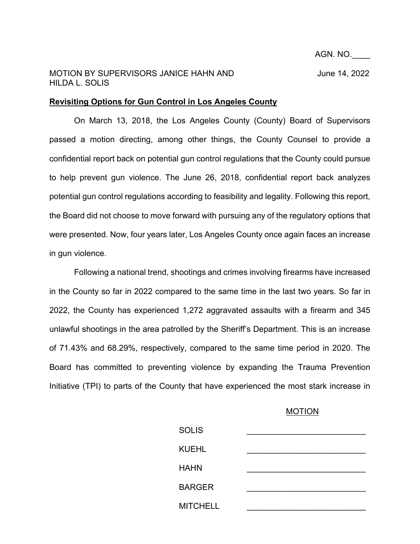## MOTION BY SUPERVISORS JANICE HAHN AND June 14, 2022 HILDA L. SOLIS

## **Revisiting Options for Gun Control in Los Angeles County**

On March 13, 2018, the Los Angeles County (County) Board of Supervisors passed a motion directing, among other things, the County Counsel to provide a confidential report back on potential gun control regulations that the County could pursue to help prevent gun violence. The June 26, 2018, confidential report back analyzes potential gun control regulations according to feasibility and legality. Following this report, the Board did not choose to move forward with pursuing any of the regulatory options that were presented. Now, four years later, Los Angeles County once again faces an increase in gun violence.

Following a national trend, shootings and crimes involving firearms have increased in the County so far in 2022 compared to the same time in the last two years. So far in 2022, the County has experienced 1,272 aggravated assaults with a firearm and 345 unlawful shootings in the area patrolled by the Sheriff's Department. This is an increase of 71.43% and 68.29%, respectively, compared to the same time period in 2020. The Board has committed to preventing violence by expanding the Trauma Prevention Initiative (TPI) to parts of the County that have experienced the most stark increase in

## MOTION

| <b>SOLIS</b>    |  |
|-----------------|--|
| <b>KUEHL</b>    |  |
| <b>HAHN</b>     |  |
| <b>BARGER</b>   |  |
| <b>MITCHELL</b> |  |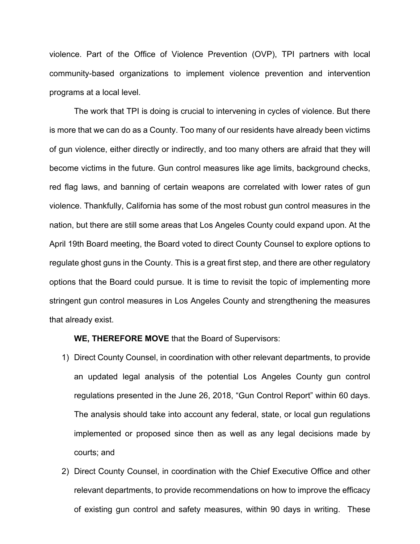violence. Part of the Office of Violence Prevention (OVP), TPI partners with local community-based organizations to implement violence prevention and intervention programs at a local level.

The work that TPI is doing is crucial to intervening in cycles of violence. But there is more that we can do as a County. Too many of our residents have already been victims of gun violence, either directly or indirectly, and too many others are afraid that they will become victims in the future. Gun control measures like age limits, background checks, red flag laws, and banning of certain weapons are correlated with lower rates of gun violence. Thankfully, California has some of the most robust gun control measures in the nation, but there are still some areas that Los Angeles County could expand upon. At the April 19th Board meeting, the Board voted to direct County Counsel to explore options to regulate ghost guns in the County. This is a great first step, and there are other regulatory options that the Board could pursue. It is time to revisit the topic of implementing more stringent gun control measures in Los Angeles County and strengthening the measures that already exist.

**WE, THEREFORE MOVE** that the Board of Supervisors:

- 1) Direct County Counsel, in coordination with other relevant departments, to provide an updated legal analysis of the potential Los Angeles County gun control regulations presented in the June 26, 2018, "Gun Control Report" within 60 days. The analysis should take into account any federal, state, or local gun regulations implemented or proposed since then as well as any legal decisions made by courts; and
- 2) Direct County Counsel, in coordination with the Chief Executive Office and other relevant departments, to provide recommendations on how to improve the efficacy of existing gun control and safety measures, within 90 days in writing. These